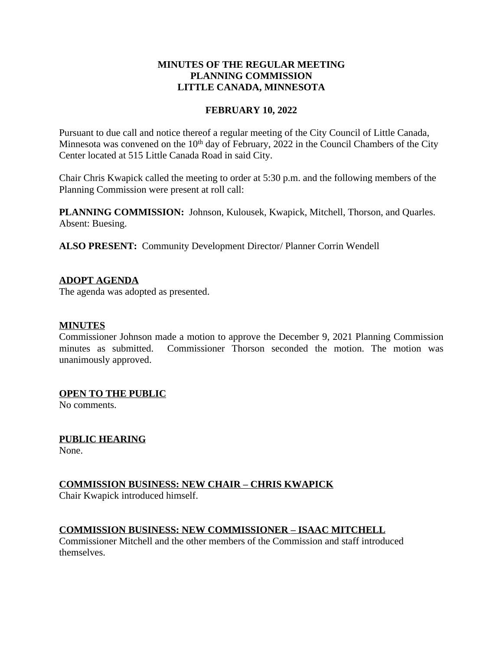## **MINUTES OF THE REGULAR MEETING PLANNING COMMISSION LITTLE CANADA, MINNESOTA**

### **FEBRUARY 10, 2022**

Pursuant to due call and notice thereof a regular meeting of the City Council of Little Canada, Minnesota was convened on the 10<sup>th</sup> day of February, 2022 in the Council Chambers of the City Center located at 515 Little Canada Road in said City.

Chair Chris Kwapick called the meeting to order at 5:30 p.m. and the following members of the Planning Commission were present at roll call:

**PLANNING COMMISSION:** Johnson, Kulousek, Kwapick, Mitchell, Thorson, and Quarles. Absent: Buesing.

**ALSO PRESENT:** Community Development Director/ Planner Corrin Wendell

## **ADOPT AGENDA**

The agenda was adopted as presented.

### **MINUTES**

Commissioner Johnson made a motion to approve the December 9, 2021 Planning Commission minutes as submitted. Commissioner Thorson seconded the motion. The motion was unanimously approved.

### **OPEN TO THE PUBLIC**

No comments.

## **PUBLIC HEARING**

None.

## **COMMISSION BUSINESS: NEW CHAIR – CHRIS KWAPICK**

Chair Kwapick introduced himself.

### **COMMISSION BUSINESS: NEW COMMISSIONER – ISAAC MITCHELL**

Commissioner Mitchell and the other members of the Commission and staff introduced themselves.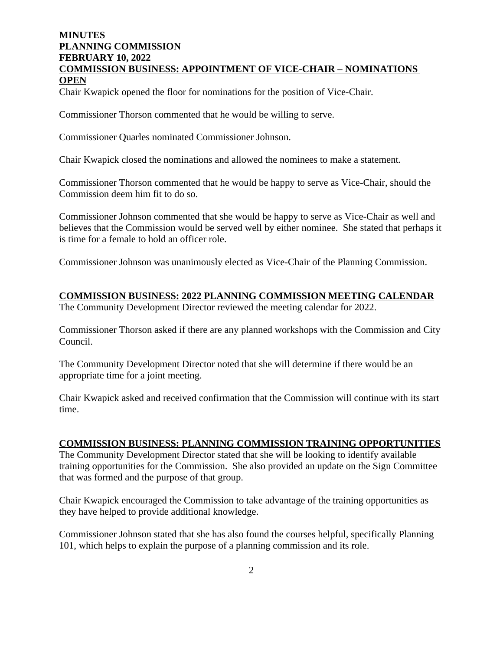# **MINUTES PLANNING COMMISSION FEBRUARY 10, 2022 COMMISSION BUSINESS: APPOINTMENT OF VICE-CHAIR – NOMINATIONS OPEN**

Chair Kwapick opened the floor for nominations for the position of Vice-Chair.

Commissioner Thorson commented that he would be willing to serve.

Commissioner Quarles nominated Commissioner Johnson.

Chair Kwapick closed the nominations and allowed the nominees to make a statement.

Commissioner Thorson commented that he would be happy to serve as Vice-Chair, should the Commission deem him fit to do so.

Commissioner Johnson commented that she would be happy to serve as Vice-Chair as well and believes that the Commission would be served well by either nominee. She stated that perhaps it is time for a female to hold an officer role.

Commissioner Johnson was unanimously elected as Vice-Chair of the Planning Commission.

## **COMMISSION BUSINESS: 2022 PLANNING COMMISSION MEETING CALENDAR**

The Community Development Director reviewed the meeting calendar for 2022.

Commissioner Thorson asked if there are any planned workshops with the Commission and City Council.

The Community Development Director noted that she will determine if there would be an appropriate time for a joint meeting.

Chair Kwapick asked and received confirmation that the Commission will continue with its start time.

### **COMMISSION BUSINESS: PLANNING COMMISSION TRAINING OPPORTUNITIES**

The Community Development Director stated that she will be looking to identify available training opportunities for the Commission. She also provided an update on the Sign Committee that was formed and the purpose of that group.

Chair Kwapick encouraged the Commission to take advantage of the training opportunities as they have helped to provide additional knowledge.

Commissioner Johnson stated that she has also found the courses helpful, specifically Planning 101, which helps to explain the purpose of a planning commission and its role.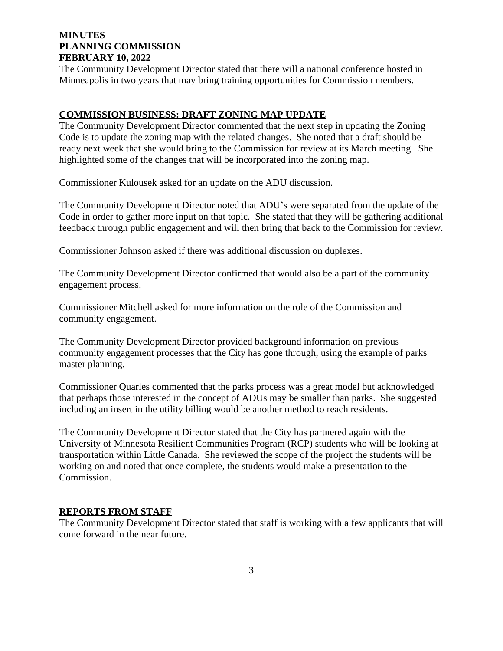## **MINUTES PLANNING COMMISSION FEBRUARY 10, 2022**

The Community Development Director stated that there will a national conference hosted in Minneapolis in two years that may bring training opportunities for Commission members.

#### **COMMISSION BUSINESS: DRAFT ZONING MAP UPDATE**

The Community Development Director commented that the next step in updating the Zoning Code is to update the zoning map with the related changes. She noted that a draft should be ready next week that she would bring to the Commission for review at its March meeting. She highlighted some of the changes that will be incorporated into the zoning map.

Commissioner Kulousek asked for an update on the ADU discussion.

The Community Development Director noted that ADU's were separated from the update of the Code in order to gather more input on that topic. She stated that they will be gathering additional feedback through public engagement and will then bring that back to the Commission for review.

Commissioner Johnson asked if there was additional discussion on duplexes.

The Community Development Director confirmed that would also be a part of the community engagement process.

Commissioner Mitchell asked for more information on the role of the Commission and community engagement.

The Community Development Director provided background information on previous community engagement processes that the City has gone through, using the example of parks master planning.

Commissioner Quarles commented that the parks process was a great model but acknowledged that perhaps those interested in the concept of ADUs may be smaller than parks. She suggested including an insert in the utility billing would be another method to reach residents.

The Community Development Director stated that the City has partnered again with the University of Minnesota Resilient Communities Program (RCP) students who will be looking at transportation within Little Canada. She reviewed the scope of the project the students will be working on and noted that once complete, the students would make a presentation to the Commission.

### **REPORTS FROM STAFF**

The Community Development Director stated that staff is working with a few applicants that will come forward in the near future.